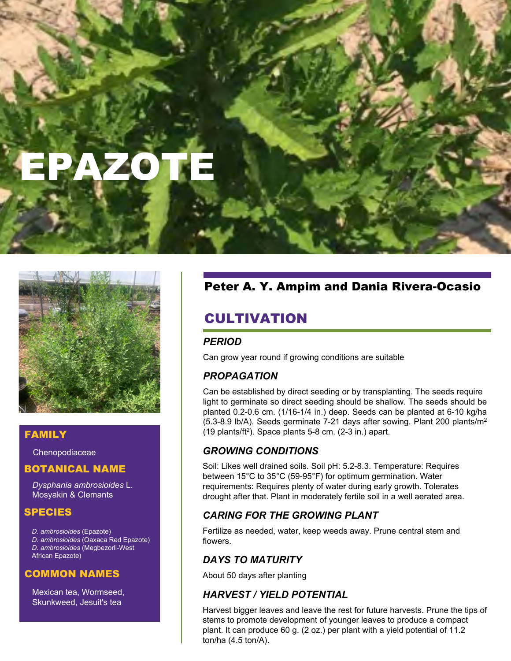# EPAZOTE



#### FAMILY

**Chenopodiaceae** 

## BOTANICAL NAME

*Dysphania ambrosioides* L. Mosyakin & Clemants

#### SPECIES

*D. ambrosioides* (Epazote)

*D. ambrosioides* (Oaxaca Red Epazote) *D. ambrosioides* (Megbezorli-West African Epazote)

#### COMMON NAMES

Mexican tea, Wormseed, Skunkweed, Jesuit's tea

# Peter A. Y. Ampim and Dania Rivera-Ocasio

# CULTIVATION

## *PERIOD*

Can grow year round if growing conditions are suitable

## *PROPAGATION*

Can be established by direct seeding or by transplanting. The seeds require light to germinate so direct seeding should be shallow. The seeds should be planted 0.2-0.6 cm. (1/16-1/4 in.) deep. Seeds can be planted at 6-10 kg/ha (5.3-8.9 lb/A). Seeds germinate 7-21 days after sowing. Plant 200 plants/m<sup>2</sup>  $(19$  plants/ft<sup>2</sup>). Space plants 5-8 cm.  $(2-3$  in.) apart.

## *GROWING CONDITIONS*

Soil: Likes well drained soils. Soil pH: 5.2-8.3. Temperature: Requires between 15°C to 35°C (59-95°F) for optimum germination. Water requirements: Requires plenty of water during early growth. Tolerates drought after that. Plant in moderately fertile soil in a well aerated area.

## *CARING FOR THE GROWING PLANT*

Fertilize as needed, water, keep weeds away. Prune central stem and flowers.

## *DAYS TO MATURITY*

About 50 days after planting

## *HARVEST / YIELD POTENTIAL*

Harvest bigger leaves and leave the rest for future harvests. Prune the tips of stems to promote development of younger leaves to produce a compact plant. It can produce 60 g. (2 oz.) per plant with a yield potential of 11.2 ton/ha (4.5 ton/A).